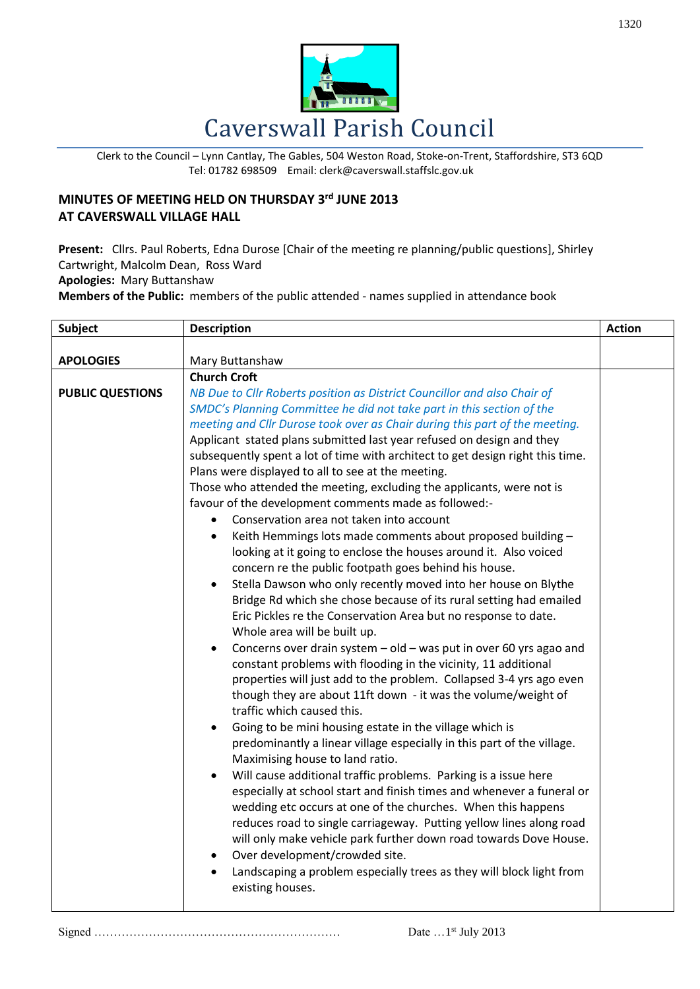

Clerk to the Council – Lynn Cantlay, The Gables, 504 Weston Road, Stoke-on-Trent, Staffordshire, ST3 6QD Tel: 01782 698509 Email: clerk@caverswall.staffslc.gov.uk

## **MINUTES OF MEETING HELD ON THURSDAY 3 rd JUNE 2013 AT CAVERSWALL VILLAGE HALL**

**Present:** Cllrs. Paul Roberts, Edna Durose [Chair of the meeting re planning/public questions], Shirley Cartwright, Malcolm Dean, Ross Ward **Apologies:** Mary Buttanshaw

**Members of the Public:** members of the public attended - names supplied in attendance book

| <b>Subject</b>          | <b>Description</b>                                                                                                                                                                                                                                                                                                                                                                                                                                                                                                                                                                                                                                                                                                                                                                                                                                                                                                                                                                                                                                                                                                                                                                                                                                                                                                                                                                                                                                                                                                                                                                                                                                                                                                                                                                                                                                                                                                                                                                                                                                                                                                                                  | <b>Action</b> |
|-------------------------|-----------------------------------------------------------------------------------------------------------------------------------------------------------------------------------------------------------------------------------------------------------------------------------------------------------------------------------------------------------------------------------------------------------------------------------------------------------------------------------------------------------------------------------------------------------------------------------------------------------------------------------------------------------------------------------------------------------------------------------------------------------------------------------------------------------------------------------------------------------------------------------------------------------------------------------------------------------------------------------------------------------------------------------------------------------------------------------------------------------------------------------------------------------------------------------------------------------------------------------------------------------------------------------------------------------------------------------------------------------------------------------------------------------------------------------------------------------------------------------------------------------------------------------------------------------------------------------------------------------------------------------------------------------------------------------------------------------------------------------------------------------------------------------------------------------------------------------------------------------------------------------------------------------------------------------------------------------------------------------------------------------------------------------------------------------------------------------------------------------------------------------------------------|---------------|
| <b>APOLOGIES</b>        | Mary Buttanshaw                                                                                                                                                                                                                                                                                                                                                                                                                                                                                                                                                                                                                                                                                                                                                                                                                                                                                                                                                                                                                                                                                                                                                                                                                                                                                                                                                                                                                                                                                                                                                                                                                                                                                                                                                                                                                                                                                                                                                                                                                                                                                                                                     |               |
| <b>PUBLIC QUESTIONS</b> | <b>Church Croft</b><br>NB Due to Cllr Roberts position as District Councillor and also Chair of<br>SMDC's Planning Committee he did not take part in this section of the<br>meeting and Cllr Durose took over as Chair during this part of the meeting.<br>Applicant stated plans submitted last year refused on design and they<br>subsequently spent a lot of time with architect to get design right this time.<br>Plans were displayed to all to see at the meeting.<br>Those who attended the meeting, excluding the applicants, were not is<br>favour of the development comments made as followed:-<br>Conservation area not taken into account<br>$\bullet$<br>Keith Hemmings lots made comments about proposed building -<br>$\bullet$<br>looking at it going to enclose the houses around it. Also voiced<br>concern re the public footpath goes behind his house.<br>Stella Dawson who only recently moved into her house on Blythe<br>$\bullet$<br>Bridge Rd which she chose because of its rural setting had emailed<br>Eric Pickles re the Conservation Area but no response to date.<br>Whole area will be built up.<br>Concerns over drain system - old - was put in over 60 yrs agao and<br>٠<br>constant problems with flooding in the vicinity, 11 additional<br>properties will just add to the problem. Collapsed 3-4 yrs ago even<br>though they are about 11ft down - it was the volume/weight of<br>traffic which caused this.<br>Going to be mini housing estate in the village which is<br>$\bullet$<br>predominantly a linear village especially in this part of the village.<br>Maximising house to land ratio.<br>Will cause additional traffic problems. Parking is a issue here<br>$\bullet$<br>especially at school start and finish times and whenever a funeral or<br>wedding etc occurs at one of the churches. When this happens<br>reduces road to single carriageway. Putting yellow lines along road<br>will only make vehicle park further down road towards Dove House.<br>Over development/crowded site.<br>٠<br>Landscaping a problem especially trees as they will block light from<br>existing houses. |               |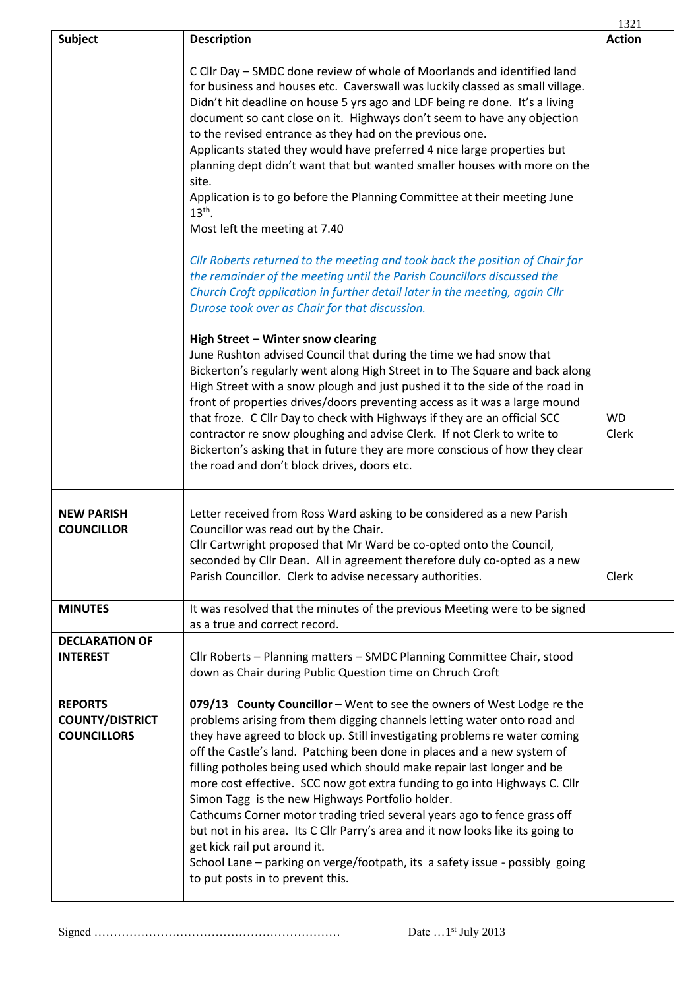|                                                                |                                                                                                                                                                                                                                                                                                                                                                                                                                                                                                                                                                                                                                                                                                                                                                                                                                            | 1321               |
|----------------------------------------------------------------|--------------------------------------------------------------------------------------------------------------------------------------------------------------------------------------------------------------------------------------------------------------------------------------------------------------------------------------------------------------------------------------------------------------------------------------------------------------------------------------------------------------------------------------------------------------------------------------------------------------------------------------------------------------------------------------------------------------------------------------------------------------------------------------------------------------------------------------------|--------------------|
| Subject                                                        | <b>Description</b>                                                                                                                                                                                                                                                                                                                                                                                                                                                                                                                                                                                                                                                                                                                                                                                                                         | <b>Action</b>      |
|                                                                | C Cllr Day - SMDC done review of whole of Moorlands and identified land<br>for business and houses etc. Caverswall was luckily classed as small village.<br>Didn't hit deadline on house 5 yrs ago and LDF being re done. It's a living<br>document so cant close on it. Highways don't seem to have any objection<br>to the revised entrance as they had on the previous one.<br>Applicants stated they would have preferred 4 nice large properties but<br>planning dept didn't want that but wanted smaller houses with more on the<br>site.<br>Application is to go before the Planning Committee at their meeting June<br>$13th$ .<br>Most left the meeting at 7.40                                                                                                                                                                   |                    |
|                                                                | Cllr Roberts returned to the meeting and took back the position of Chair for<br>the remainder of the meeting until the Parish Councillors discussed the<br>Church Croft application in further detail later in the meeting, again Cllr<br>Durose took over as Chair for that discussion.<br>High Street - Winter snow clearing                                                                                                                                                                                                                                                                                                                                                                                                                                                                                                             |                    |
|                                                                | June Rushton advised Council that during the time we had snow that<br>Bickerton's regularly went along High Street in to The Square and back along<br>High Street with a snow plough and just pushed it to the side of the road in<br>front of properties drives/doors preventing access as it was a large mound<br>that froze. C Cllr Day to check with Highways if they are an official SCC<br>contractor re snow ploughing and advise Clerk. If not Clerk to write to<br>Bickerton's asking that in future they are more conscious of how they clear<br>the road and don't block drives, doors etc.                                                                                                                                                                                                                                     | <b>WD</b><br>Clerk |
| <b>NEW PARISH</b><br><b>COUNCILLOR</b>                         | Letter received from Ross Ward asking to be considered as a new Parish<br>Councillor was read out by the Chair.<br>Cllr Cartwright proposed that Mr Ward be co-opted onto the Council,<br>seconded by Cllr Dean. All in agreement therefore duly co-opted as a new<br>Parish Councillor. Clerk to advise necessary authorities.                                                                                                                                                                                                                                                                                                                                                                                                                                                                                                            | Clerk              |
| <b>MINUTES</b>                                                 | It was resolved that the minutes of the previous Meeting were to be signed<br>as a true and correct record.                                                                                                                                                                                                                                                                                                                                                                                                                                                                                                                                                                                                                                                                                                                                |                    |
| <b>DECLARATION OF</b><br><b>INTEREST</b>                       | Cllr Roberts - Planning matters - SMDC Planning Committee Chair, stood<br>down as Chair during Public Question time on Chruch Croft                                                                                                                                                                                                                                                                                                                                                                                                                                                                                                                                                                                                                                                                                                        |                    |
| <b>REPORTS</b><br><b>COUNTY/DISTRICT</b><br><b>COUNCILLORS</b> | 079/13 County Councillor - Went to see the owners of West Lodge re the<br>problems arising from them digging channels letting water onto road and<br>they have agreed to block up. Still investigating problems re water coming<br>off the Castle's land. Patching been done in places and a new system of<br>filling potholes being used which should make repair last longer and be<br>more cost effective. SCC now got extra funding to go into Highways C. Cllr<br>Simon Tagg is the new Highways Portfolio holder.<br>Cathcums Corner motor trading tried several years ago to fence grass off<br>but not in his area. Its C Cllr Parry's area and it now looks like its going to<br>get kick rail put around it.<br>School Lane - parking on verge/footpath, its a safety issue - possibly going<br>to put posts in to prevent this. |                    |

Signed ……………………………………………………… Date …1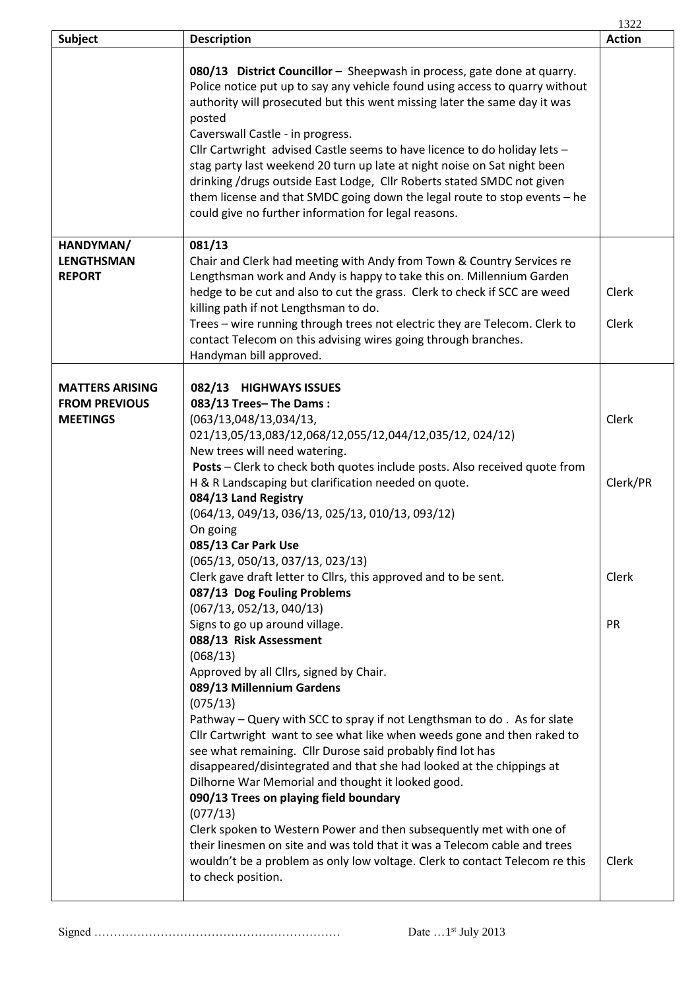|                                                                   |                                                                                                                                                                                                                                                                                                                                                                                                                                                                                                                                                                                                                                                            | 1322              |
|-------------------------------------------------------------------|------------------------------------------------------------------------------------------------------------------------------------------------------------------------------------------------------------------------------------------------------------------------------------------------------------------------------------------------------------------------------------------------------------------------------------------------------------------------------------------------------------------------------------------------------------------------------------------------------------------------------------------------------------|-------------------|
| <b>Subject</b>                                                    | <b>Description</b>                                                                                                                                                                                                                                                                                                                                                                                                                                                                                                                                                                                                                                         | <b>Action</b>     |
|                                                                   | 080/13 District Councillor - Sheepwash in process, gate done at quarry.<br>Police notice put up to say any vehicle found using access to quarry without<br>authority will prosecuted but this went missing later the same day it was<br>posted<br>Caverswall Castle - in progress.<br>Cllr Cartwright advised Castle seems to have licence to do holiday lets -<br>stag party last weekend 20 turn up late at night noise on Sat night been<br>drinking /drugs outside East Lodge, Cllr Roberts stated SMDC not given<br>them license and that SMDC going down the legal route to stop events - he<br>could give no further information for legal reasons. |                   |
| HANDYMAN/                                                         | 081/13                                                                                                                                                                                                                                                                                                                                                                                                                                                                                                                                                                                                                                                     |                   |
| <b>LENGTHSMAN</b><br><b>REPORT</b>                                | Chair and Clerk had meeting with Andy from Town & Country Services re<br>Lengthsman work and Andy is happy to take this on. Millennium Garden<br>hedge to be cut and also to cut the grass. Clerk to check if SCC are weed<br>killing path if not Lengthsman to do.<br>Trees - wire running through trees not electric they are Telecom. Clerk to<br>contact Telecom on this advising wires going through branches.<br>Handyman bill approved.                                                                                                                                                                                                             | Clerk<br>Clerk    |
|                                                                   |                                                                                                                                                                                                                                                                                                                                                                                                                                                                                                                                                                                                                                                            |                   |
| <b>MATTERS ARISING</b><br><b>FROM PREVIOUS</b><br><b>MEETINGS</b> | 082/13 HIGHWAYS ISSUES<br>083/13 Trees-The Dams:<br>(063/13,048/13,034/13,<br>021/13,05/13,083/12,068/12,055/12,044/12,035/12,024/12)<br>New trees will need watering.<br>Posts - Clerk to check both quotes include posts. Also received quote from                                                                                                                                                                                                                                                                                                                                                                                                       | Clerk             |
|                                                                   | H & R Landscaping but clarification needed on quote.<br>084/13 Land Registry<br>(064/13, 049/13, 036/13, 025/13, 010/13, 093/12)<br>On going<br>085/13 Car Park Use<br>(065/13, 050/13, 037/13, 023/13)<br>Clerk gave draft letter to Cllrs, this approved and to be sent.<br>087/13 Dog Fouling Problems                                                                                                                                                                                                                                                                                                                                                  | Clerk/PR<br>Clerk |
|                                                                   | (067/13, 052/13, 040/13)<br>Signs to go up around village.<br>088/13 Risk Assessment<br>(068/13)<br>Approved by all Cllrs, signed by Chair.<br>089/13 Millennium Gardens<br>(075/13)<br>Pathway – Query with SCC to spray if not Lengthsman to do. As for slate<br>Cllr Cartwright want to see what like when weeds gone and then raked to                                                                                                                                                                                                                                                                                                                 | <b>PR</b>         |
|                                                                   | see what remaining. Cllr Durose said probably find lot has<br>disappeared/disintegrated and that she had looked at the chippings at<br>Dilhorne War Memorial and thought it looked good.<br>090/13 Trees on playing field boundary<br>(077/13)<br>Clerk spoken to Western Power and then subsequently met with one of<br>their linesmen on site and was told that it was a Telecom cable and trees<br>wouldn't be a problem as only low voltage. Clerk to contact Telecom re this<br>to check position.                                                                                                                                                    | Clerk             |

Signed ……………………………………………………… Date …1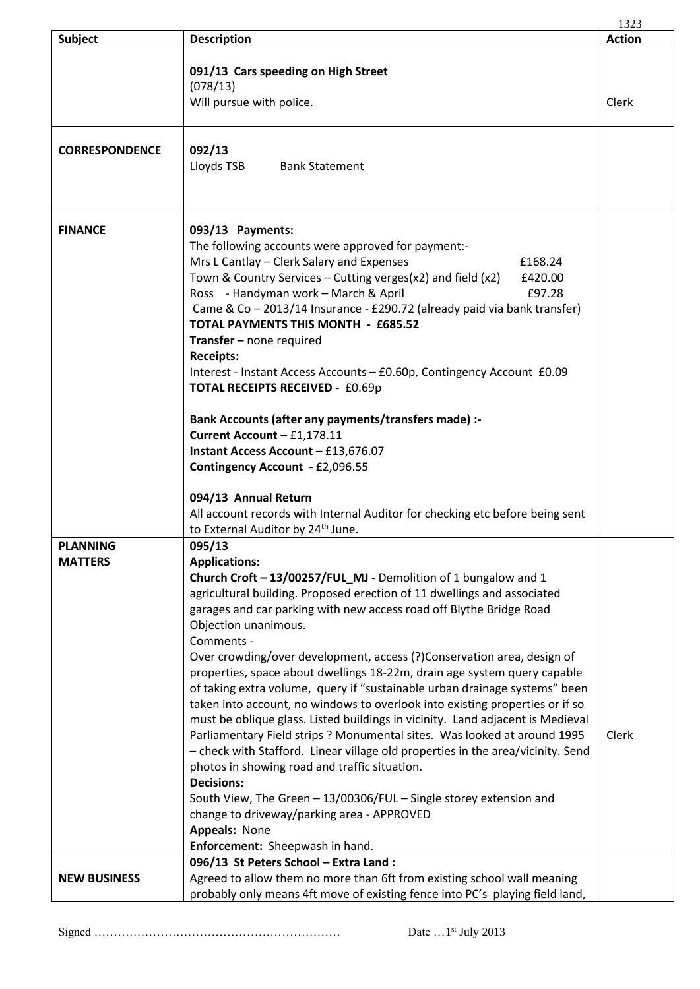|                                   |                                                                                                                                                                                                                                                                                                                                                                                                                                                                                                                                                                                                                                                                                                                                                                                                                                                                                                                                                                                                                                                                                                              | 1323          |
|-----------------------------------|--------------------------------------------------------------------------------------------------------------------------------------------------------------------------------------------------------------------------------------------------------------------------------------------------------------------------------------------------------------------------------------------------------------------------------------------------------------------------------------------------------------------------------------------------------------------------------------------------------------------------------------------------------------------------------------------------------------------------------------------------------------------------------------------------------------------------------------------------------------------------------------------------------------------------------------------------------------------------------------------------------------------------------------------------------------------------------------------------------------|---------------|
| <b>Subject</b>                    | <b>Description</b>                                                                                                                                                                                                                                                                                                                                                                                                                                                                                                                                                                                                                                                                                                                                                                                                                                                                                                                                                                                                                                                                                           | <b>Action</b> |
|                                   | 091/13 Cars speeding on High Street<br>(078/13)<br>Will pursue with police.                                                                                                                                                                                                                                                                                                                                                                                                                                                                                                                                                                                                                                                                                                                                                                                                                                                                                                                                                                                                                                  | Clerk         |
| <b>CORRESPONDENCE</b>             | 092/13<br>Lloyds TSB<br><b>Bank Statement</b>                                                                                                                                                                                                                                                                                                                                                                                                                                                                                                                                                                                                                                                                                                                                                                                                                                                                                                                                                                                                                                                                |               |
| <b>FINANCE</b>                    | 093/13 Payments:<br>The following accounts were approved for payment:-<br>Mrs L Cantlay - Clerk Salary and Expenses<br>£168.24<br>Town & Country Services – Cutting verges(x2) and field (x2)<br>£420.00<br>Ross - Handyman work - March & April<br>£97.28<br>Came & Co - 2013/14 Insurance - £290.72 (already paid via bank transfer)<br><b>TOTAL PAYMENTS THIS MONTH - £685.52</b><br><b>Transfer</b> – none required<br><b>Receipts:</b><br>Interest - Instant Access Accounts - £0.60p, Contingency Account £0.09<br><b>TOTAL RECEIPTS RECEIVED - £0.69p</b><br>Bank Accounts (after any payments/transfers made) :-<br>Current Account - £1,178.11<br>Instant Access Account - £13,676.07<br>Contingency Account - £2,096.55<br>094/13 Annual Return<br>All account records with Internal Auditor for checking etc before being sent<br>to External Auditor by 24 <sup>th</sup> June.                                                                                                                                                                                                                   |               |
| <b>PLANNING</b><br><b>MATTERS</b> | 095/13<br><b>Applications:</b><br>Church Croft - 13/00257/FUL_MJ - Demolition of 1 bungalow and 1<br>agricultural building. Proposed erection of 11 dwellings and associated<br>garages and car parking with new access road off Blythe Bridge Road<br>Objection unanimous.<br>Comments -<br>Over crowding/over development, access (?)Conservation area, design of<br>properties, space about dwellings 18-22m, drain age system query capable<br>of taking extra volume, query if "sustainable urban drainage systems" been<br>taken into account, no windows to overlook into existing properties or if so<br>must be oblique glass. Listed buildings in vicinity. Land adjacent is Medieval<br>Parliamentary Field strips ? Monumental sites. Was looked at around 1995<br>- check with Stafford. Linear village old properties in the area/vicinity. Send<br>photos in showing road and traffic situation.<br><b>Decisions:</b><br>South View, The Green - 13/00306/FUL - Single storey extension and<br>change to driveway/parking area - APPROVED<br>Appeals: None<br>Enforcement: Sheepwash in hand. | Clerk         |
| <b>NEW BUSINESS</b>               | 096/13 St Peters School - Extra Land :<br>Agreed to allow them no more than 6ft from existing school wall meaning<br>probably only means 4ft move of existing fence into PC's playing field land,                                                                                                                                                                                                                                                                                                                                                                                                                                                                                                                                                                                                                                                                                                                                                                                                                                                                                                            |               |

Signed ……………………………………………………… Date …1